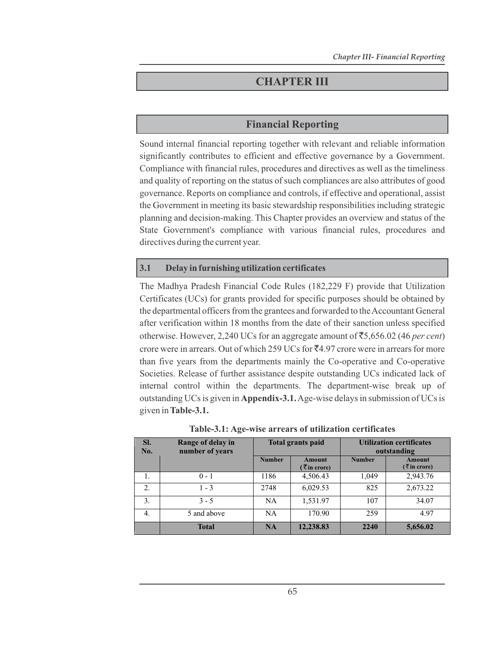# **CHAPTER III**

# **Financial Reporting**

Sound internal financial reporting together with relevant and reliable information significantly contributes to efficient and effective governance by a Government. Compliance with financial rules, procedures and directives as well as the timeliness and quality of reporting on the status of such compliances are also attributes of good governance. Reports on compliance and controls, if effective and operational, assist the Government in meeting its basic stewardship responsibilities including strategic planning and decision-making. This Chapter provides an overview and status of the State Government's compliance with various financial rules, procedures and directives during the current year.

#### **3.1 Delay in furnishing utilization certificates**

The Madhya Pradesh Financial Code Rules (182,229 F) provide that Utilization Certificates (UCs) for grants provided for specific purposes should be obtained by the departmental officers from the grantees and forwarded to the Accountant General after verification within 18 months from the date of their sanction unless specified otherwise. However, 2,240 UCs for an aggregate amount of  $\overline{5}5,656.02$  (46 *per cent*) crore were in arrears. Out of which 259 UCs for  $\overline{z}4.97$  crore were in arrears for more than five years from the departments mainly the Co-operative and Co-operative Societies. Release of further assistance despite outstanding UCs indicated lack of internal control within the departments. The department-wise break up of outstanding UCs is given in **Appendix-3.1.** Age-wise delays in submission of UCs is given in **Table-3.1.**

| SI.<br>No. | Range of delay in<br>number of years | <b>Total grants paid</b> |                             | <b>Utilization certificates</b><br>outstanding |                           |  |
|------------|--------------------------------------|--------------------------|-----------------------------|------------------------------------------------|---------------------------|--|
|            |                                      | <b>Number</b>            | Amount<br><b>₹in crore)</b> | <b>Number</b>                                  | Amount<br>$($ ₹ in crore) |  |
| 1.         | $0 - 1$                              | 1186                     | 4,506.43                    | 1,049                                          | 2,943.76                  |  |
| 2.         | $1 - 3$                              | 2748                     | 6,029.53                    | 825                                            | 2,673.22                  |  |
| 3.         | $3 - 5$                              | <b>NA</b>                | 1,531.97                    | 107                                            | 34.07                     |  |
| 4.         | 5 and above                          | NA.                      | 170.90                      | 259                                            | 4.97                      |  |
|            | <b>Total</b>                         | <b>NA</b>                | 12,238.83                   | 2240                                           | 5,656.02                  |  |

**Table-3.1: Age-wise arrears of utilization certificates**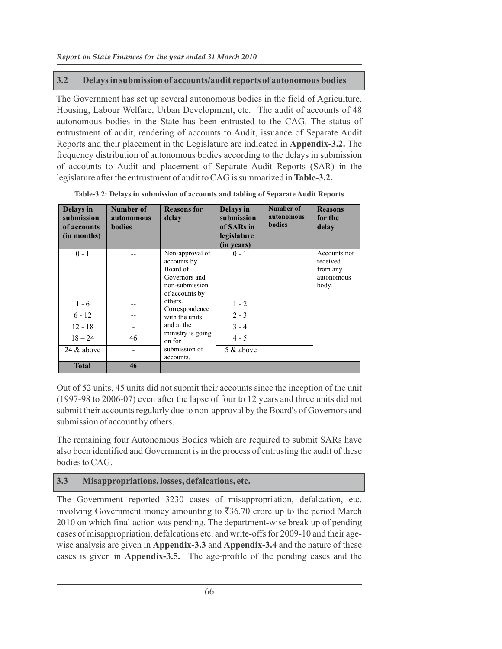### **3.2 Delays in submission of accounts/audit reports of autonomous bodies**

The Government has set up several autonomous bodies in the field of Agriculture, Housing, Labour Welfare, Urban Development, etc. The audit of accounts of 48 autonomous bodies in the State has been entrusted to the CAG. The status of entrustment of audit, rendering of accounts to Audit, issuance of Separate Audit Reports and their placement in the Legislature are indicated in **Appendix-3.2.** The frequency distribution of autonomous bodies according to the delays in submission of accounts to Audit and placement of Separate Audit Reports (SAR) in the legislature after the entrustment of audit to CAG is summarized in **Table-3.2.**

| <b>Delays</b> in<br>submission<br>of accounts<br>(in months) | Number of<br>autonomous<br><b>bodies</b> | <b>Reasons for</b><br>delay                                                    | <b>Delays</b> in<br>submission<br>of SARs in<br>legislature<br>(in years) | Number of<br>autonomous<br><b>bodies</b> | <b>Reasons</b><br>for the<br>delay |
|--------------------------------------------------------------|------------------------------------------|--------------------------------------------------------------------------------|---------------------------------------------------------------------------|------------------------------------------|------------------------------------|
| $0 - 1$                                                      |                                          | Non-approval of<br>accounts by                                                 | $0 - 1$                                                                   |                                          | Accounts not<br>received           |
|                                                              |                                          | Board of                                                                       |                                                                           |                                          | from any                           |
|                                                              |                                          | Governors and                                                                  |                                                                           |                                          | autonomous                         |
|                                                              |                                          | non-submission                                                                 |                                                                           |                                          | body.                              |
|                                                              |                                          | of accounts by                                                                 |                                                                           |                                          |                                    |
| $1 - 6$                                                      |                                          | others.<br>Correspondence<br>with the units<br>and at the<br>ministry is going | $1 - 2$                                                                   |                                          |                                    |
| $6 - 12$                                                     |                                          |                                                                                | $2 - 3$                                                                   |                                          |                                    |
| $12 - 18$                                                    |                                          |                                                                                | $3 - 4$                                                                   |                                          |                                    |
| $18 - 24$                                                    | 46                                       | on for                                                                         | $4 - 5$                                                                   |                                          |                                    |
| 24 $\&$ above                                                |                                          | submission of<br>accounts.                                                     | 5 & above                                                                 |                                          |                                    |
| <b>Total</b>                                                 | 46                                       |                                                                                |                                                                           |                                          |                                    |

**Table-3.2: Delays in submission of accounts and tabling of Separate Audit Reports**

Out of 52 units, 45 units did not submit their accounts since the inception of the unit (1997-98 to 2006-07) even after the lapse of four to 12 years and three units did not submit their accounts regularly due to non-approval by the Board's of Governors and submission of account by others.

The remaining four Autonomous Bodies which are required to submit SARs have also been identified and Government is in the process of entrusting the audit of these bodies to CAG.

#### **3.3 Misappropriations, losses, defalcations, etc.**

The Government reported 3230 cases of misappropriation, defalcation, etc. involving Government money amounting to  $\bar{\mathfrak{F}}36.70$  crore up to the period March 2010 on which final action was pending. The department-wise break up of pending cases of misappropriation, defalcations etc. and write-offs for 2009-10 and their agewise analysis are given in **Appendix-3.3** and **Appendix-3.4** and the nature of these cases is given in **Appendix-3.5.** The age-profile of the pending cases and the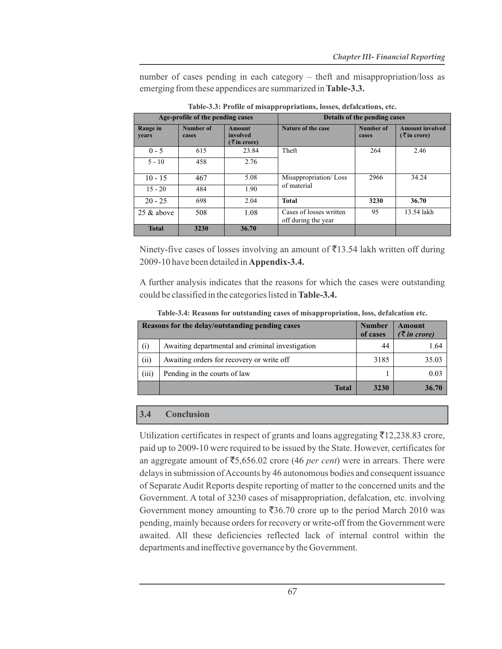number of cases pending in each category – theft and misappropriation/loss as emerging from these appendices are summarized in **Table-3.3.**

| Age-profile of the pending cases |                    | Details of the pending cases             |                                                |                    |                                           |
|----------------------------------|--------------------|------------------------------------------|------------------------------------------------|--------------------|-------------------------------------------|
| Range in<br>years                | Number of<br>cases | <b>Amount</b><br>involved<br>(₹in crore) | Nature of the case                             | Number of<br>cases | <b>Amount involved</b><br>$($ ₹ in crore) |
| $0 - 5$                          | 615                | 23.84                                    | Theft                                          | 264                | 2.46                                      |
| $5 - 10$                         | 458                | 2.76                                     |                                                |                    |                                           |
| $10 - 15$                        | 467                | 5.08                                     | Misappropriation/Loss                          | 2966               | 34.24                                     |
| $15 - 20$                        | 484                | 1.90                                     | of material                                    |                    |                                           |
| $20 - 25$                        | 698                | 2.04                                     | <b>Total</b>                                   | 3230               | 36.70                                     |
| $25 \&$ above                    | 508                | 1.08                                     | Cases of losses written<br>off during the year | 95                 | 13.54 lakh                                |
| <b>Total</b>                     | 3230               | 36.70                                    |                                                |                    |                                           |

**Table-3.3: Profile of misappropriations, losses, defalcations, etc.**

Ninety-five cases of losses involving an amount of  $\bar{\bar{\mathcal{F}}}$ 13.54 lakh written off during 2009-10 have been detailed in **Appendix-3.4.**

A further analysis indicates that the reasons for which the cases were outstanding could be classified in the categories listed in **Table-3.4.**

| Reasons for the delay/outstanding pending cases |                                                  |      | <b>Amount</b><br>$(\bar{\zeta}$ in crore) |
|-------------------------------------------------|--------------------------------------------------|------|-------------------------------------------|
| (i)                                             | Awaiting departmental and criminal investigation | 44   | 1.64                                      |
| (ii)                                            | Awaiting orders for recovery or write off        | 3185 | 35.03                                     |
| (iii)                                           | Pending in the courts of law                     |      | 0.03                                      |
|                                                 | <b>Total</b>                                     | 3230 | 36.70                                     |

**Table-3.4: Reasons for outstanding cases of misappropriation, loss, defalcation etc.**

#### **3.4 Conclusion**

Utilization certificates in respect of grants and loans aggregating  $\overline{5}12,238.83$  crore, paid up to 2009-10 were required to be issued by the State. However, certificates for an aggregate amount of  $\overline{5}5,656.02$  crore (46 *per cent*) were in arrears. There were delays in submission of Accounts by 46 autonomous bodies and consequent issuance of Separate Audit Reports despite reporting of matter to the concerned units and the Government. A total of 3230 cases of misappropriation, defalcation, etc. involving Government money amounting to  $\overline{536.70}$  crore up to the period March 2010 was pending, mainly because orders for recovery or write-off from the Government were awaited. All these deficiencies reflected lack of internal control within the departments and ineffective governance by the Government.